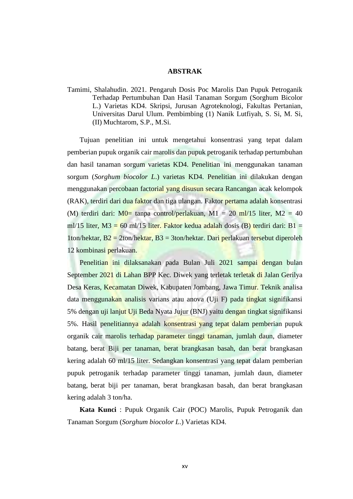## **ABSTRAK**

Tamimi, Shalahudin. 2021. Pengaruh Dosis Poc Marolis Dan Pupuk Petroganik Terhadap Pertumbuhan Dan Hasil Tanaman Sorgum (Sorghum Bicolor L.) Varietas KD4. Skripsi, Jurusan Agroteknologi, Fakultas Pertanian, Universitas Darul Ulum. Pembimbing (1) Nanik Lutfiyah, S. Si, M. Si, (II) Muchtarom, S.P., M.Si.

Tujuan penelitian ini untuk mengetahui konsentrasi yang tepat dalam pemberian pupuk organik cair marolis dan pupuk petroganik terhadap pertumbuhan dan hasil tanaman sorgum varietas KD4. Penelitian ini menggunakan tanaman sorgum (*Sorghum biocolor L*.) varietas KD4. Penelitian ini dilakukan dengan menggunakan percobaan factorial yang disusun secara Rancangan acak kelompok (RAK), terdiri dari dua faktor dan tiga ulangan. Faktor pertama adalah konsentrasi (M) terdiri dari:  $M0= \text{t}$ anpa control/perlakuan, M1 = 20 ml/15 liter, M2 = 40 ml/15 liter, M3 = 60 ml/15 liter. Faktor kedua adalah dosis (B) terdiri dari: B1 = 1ton/hektar, B2 = 2ton/hektar, B3 = 3ton/hektar. Dari perlakuan tersebut diperoleh 12 kombinasi perlakuan.

Penelitian ini dilaksanakan pada Bulan Juli 2021 sampai dengan bulan September 2021 di Lahan BPP Kec. Diwek yang terletak terletak di Jalan Gerilya Desa Keras, Kecamatan Diwek, Kabupaten Jombang, Jawa Timur. Teknik analisa data menggunakan analisis varians atau anova (Uji F) pada tingkat signifikansi 5% dengan uji lanjut Uji Beda Nyata Jujur (BNJ) yaitu dengan tingkat signifikansi 5%. Hasil penelitiannya adalah konsentrasi yang tepat dalam pemberian pupuk organik cair marolis terhadap parameter tinggi tanaman, jumlah daun, diameter batang, berat Biji per tanaman, berat brangkasan basah, dan berat brangkasan kering adalah 60 ml/15 liter. Sedangkan konsentrasi yang tepat dalam pemberian pupuk petroganik terhadap parameter tinggi tanaman, jumlah daun, diameter batang, berat biji per tanaman, berat brangkasan basah, dan berat brangkasan kering adalah 3 ton/ha.

**Kata Kunci** : Pupuk Organik Cair (POC) Marolis, Pupuk Petroganik dan Tanaman Sorgum (*Sorghum biocolor L*.) Varietas KD4.